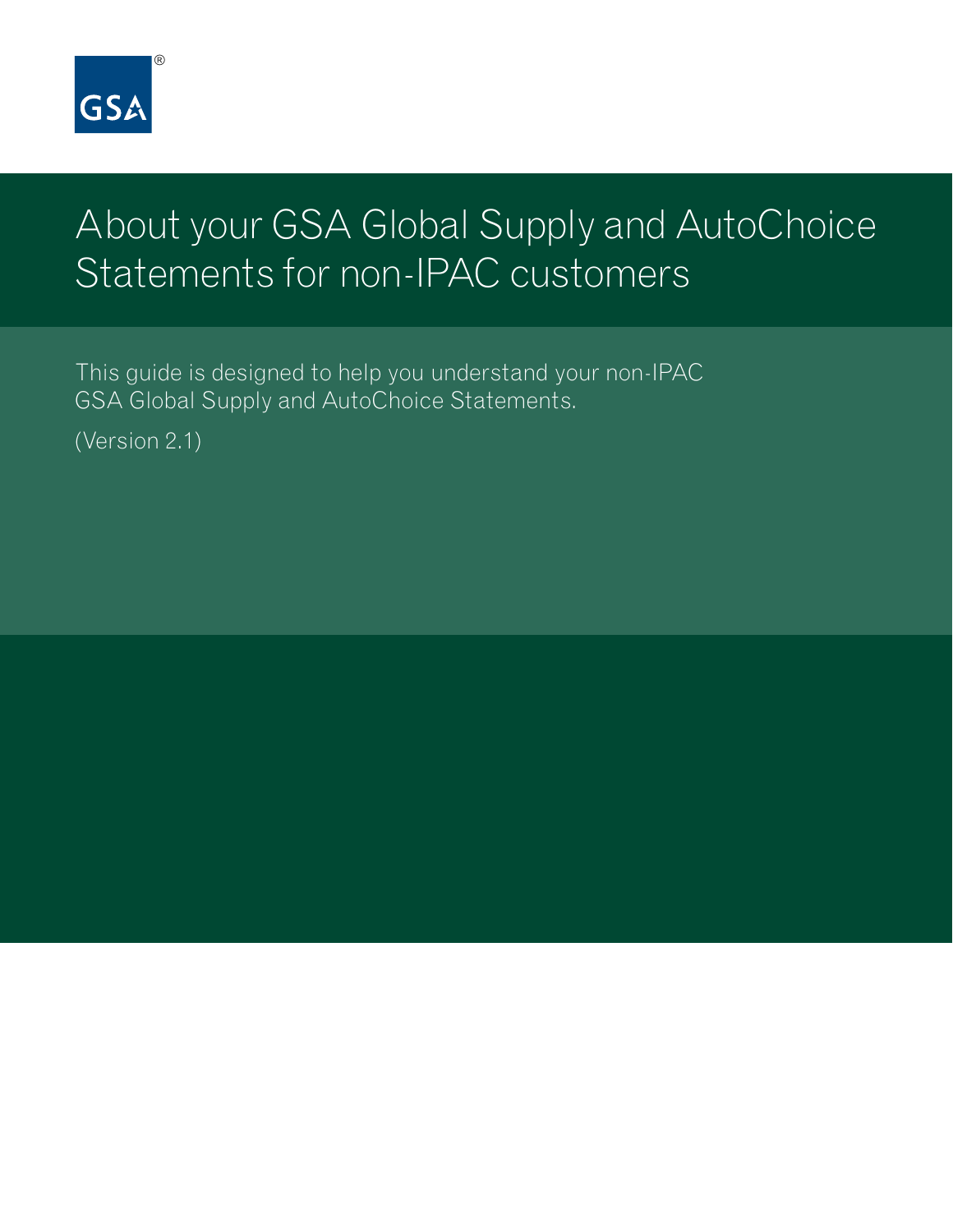

# About your GSA Global Supply and AutoChoice Statements for non-IPAC customers

This guide is designed to help you understand your non-IPAC GSA Global Supply and AutoChoice Statements.

(Version 2.1)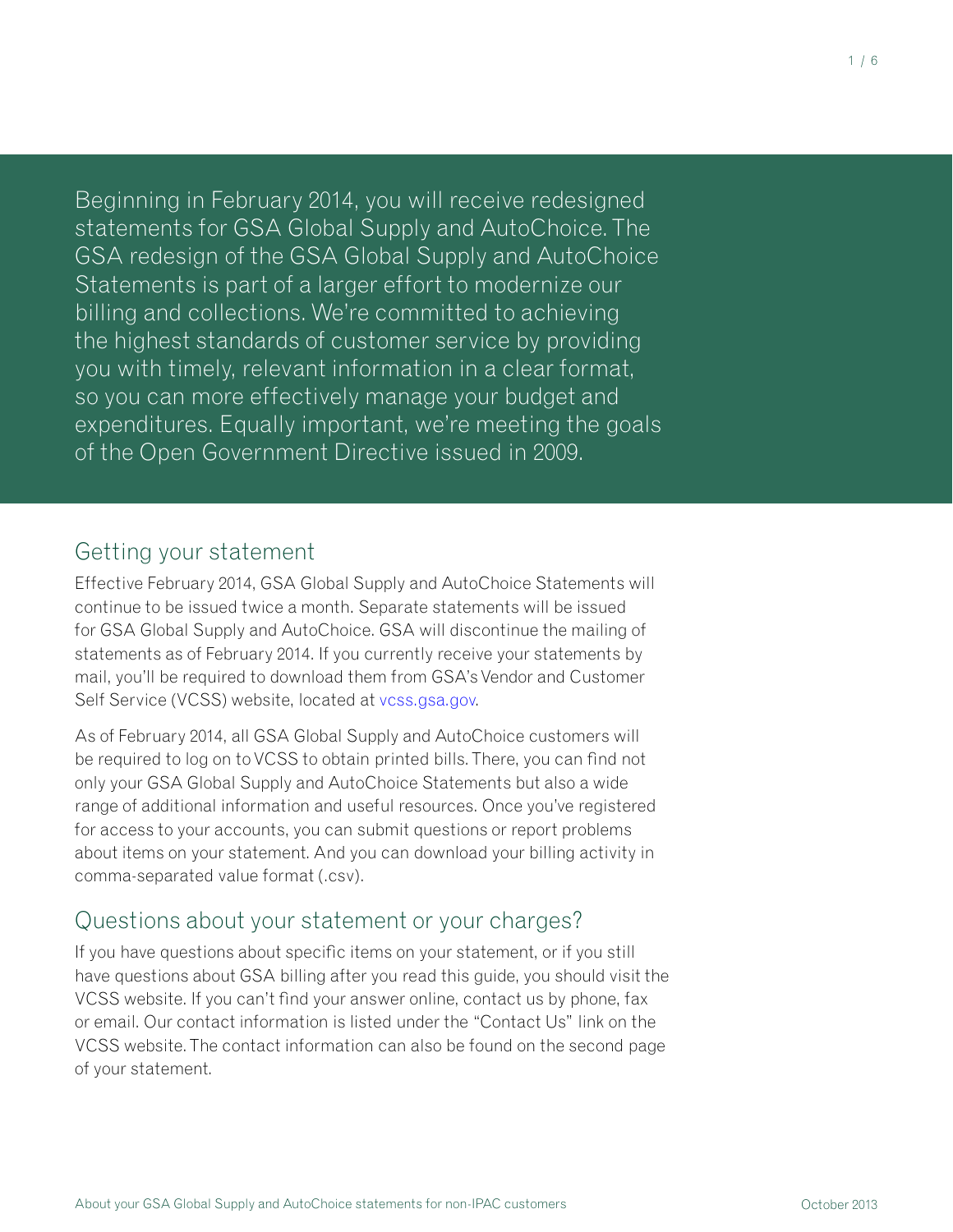Beginning in February 2014, you will receive redesigned statements for GSA Global Supply and AutoChoice. The GSA redesign of the GSA Global Supply and AutoChoice Statements is part of a larger effort to modernize our billing and collections. We're committed to achieving the highest standards of customer service by providing you with timely, relevant information in a clear format, so you can more effectively manage your budget and expenditures. Equally important, we're meeting the goals of the Open Government Directive issued in 2009.

# Getting your statement

Effective February 2014, GSA Global Supply and AutoChoice Statements will continue to be issued twice a month. Separate statements will be issued for GSA Global Supply and AutoChoice. GSA will discontinue the mailing of statements as of February 2014. If you currently receive your statements by mail, you'll be required to download them from GSA's Vendor and Customer Self Service (VCSS) website, located at [vcss.gsa.gov](http://vcss.gsa.gov).

As of February 2014, all GSA Global Supply and AutoChoice customers will be required to log on to VCSS to obtain printed bills. There, you can find not only your GSA Global Supply and AutoChoice Statements but also a wide range of additional information and useful resources. Once you've registered for access to your accounts, you can submit questions or report problems about items on your statement. And you can download your billing activity in comma-separated value format (.csv).

# Questions about your statement or your charges?

If you have questions about specific items on your statement, or if you still have questions about GSA billing after you read this guide, you should visit the VCSS website. If you can't find your answer online, contact us by phone, fax or email. Our contact information is listed under the "Contact Us" link on the VCSS website. The contact information can also be found on the second page of your statement.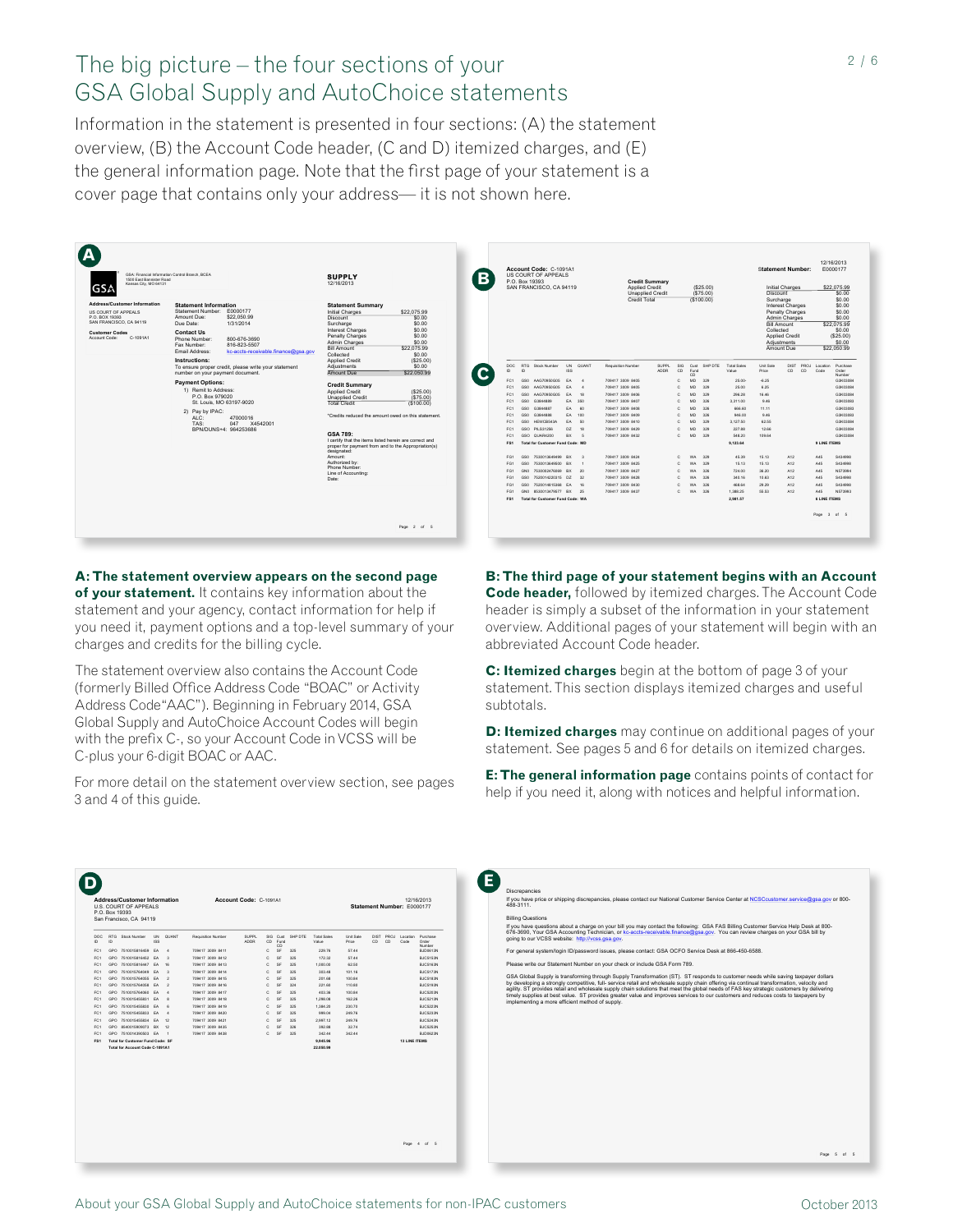# The big picture – the four sections of your GSA Global Supply and AutoChoice statements

Information in the statement is presented in four sections: (A) the statement overview, (B) the Account Code header, (C and D) itemized charges, and (E) the general information page. Note that the first page of your statement is a cover page that contains only your address— it is not shown here.

| GSA: Financial Information Control Branch, BCEA<br>1500 East Bannister Road<br>Kansas City, MO 64131<br><b>GSA</b>                                                                                                                                                                                                                               | <b>SUPPLY</b><br>12/16/2013                                                                                                                                        | Account Code: C-1091A1<br>R<br>US COURT OF APPEALS<br>P O Box 19393<br>SAN FRANCISCO, CA 94119           |                                                                                      | <b>Credit Summary</b><br>Applied Credit<br><b>Unapplied Credit</b><br>Credit Total |                                                      | (S25.00)<br>(S75.00)<br>(\$100.00) |                              | Initial Charges<br>Discount<br>Surcharge          | <b>Statement Number:</b>                             | 12/16/2013<br>E0000177<br>\$22.075.99<br>\$0.00<br>\$0.00       |
|--------------------------------------------------------------------------------------------------------------------------------------------------------------------------------------------------------------------------------------------------------------------------------------------------------------------------------------------------|--------------------------------------------------------------------------------------------------------------------------------------------------------------------|----------------------------------------------------------------------------------------------------------|--------------------------------------------------------------------------------------|------------------------------------------------------------------------------------|------------------------------------------------------|------------------------------------|------------------------------|---------------------------------------------------|------------------------------------------------------|-----------------------------------------------------------------|
| <b>Address/Customer Information</b><br><b>Statement Information</b><br>Statement Number: E0000177<br><b>US COURT OF APPEALS</b><br>P.O. BOX 19393<br>Amount Due:<br>\$22,050.99<br>SAN FRANCISCO, CA 94119<br>Due Date:<br>1/31/2014<br><b>Customer Codes</b><br><b>Contact Us</b><br>C-1091A1<br>Account Code:<br>Phone Number:<br>800-676-3690 | <b>Statement Summary</b><br>Initial Charges<br>\$22,075.99<br>\$0.00<br>Discount<br>\$0.00<br>Surcharge<br>Interest Charges<br>\$0.00<br>\$0.00<br>Penalty Charges |                                                                                                          |                                                                                      |                                                                                    |                                                      |                                    |                              | <b>Bill Amount</b><br>Collected<br>Applied Credit | Interest Charges<br>Penalty Charges<br>Admin Charges | \$0.00<br>\$0.00<br>\$0.00<br>\$22,075.99<br>\$0.00<br>(S25.00) |
| 816-823-5507<br>Fax Numher<br>Email Address:<br>kc-accts-receivable.finance@osa.gov<br>Instructions:<br>To ensure proper credit, please write your statement                                                                                                                                                                                     | \$0.00<br>Admin Charges<br><b>Bill Amount</b><br>\$22,075.99<br>\$0.00<br>Collected<br>Applied Credit<br>(S25.00)<br>Adiustments<br>\$0.00                         | RTG Stock Number<br>DOC<br>$\mathsf{ID}$<br><b>D</b>                                                     | <b>UN</b><br><b>QUANT</b><br>Requisition Number<br><b>ISS</b>                        | <b>SUPPL</b><br><b>ADDR</b>                                                        | SIG<br>CD<br>Cust<br>Fund                            | SHP DTE                            | Total Sales<br>Value         | Adjustments<br>Amount Due<br>Unit Sale<br>Price   | <b>DIST</b><br>PROJ<br>CD<br>CD.                     | \$0.00<br>\$22,050.99<br>Location<br>Purchase<br>Code<br>Order  |
| number on your payment document.<br><b>Payment Options:</b><br>1) Remit to Address:                                                                                                                                                                                                                                                              | Amount Due<br>\$22.050.99<br><b>Credit Summary</b><br><b>Applied Credit</b><br>(S25.00)                                                                            | FC1<br>GSO<br>AAG70950G05<br>AAG70950G05<br>FC1<br>GSO                                                   | EA<br>709417 3009 8405<br>$\overline{a}$<br>EA.<br>709417 3009 8405                  |                                                                                    | CD<br>MD.<br>C.<br>c.<br>MD.                         | 329<br>329                         | 25.00-<br>25.00              | $-6.25$<br>6.25                                   |                                                      | Number<br>G3K03084<br>G3K03084                                  |
| P O Box 979020<br>St. Louis, MO 63197-9020<br>2) Pay by IPAC:                                                                                                                                                                                                                                                                                    | Unapplied Credit<br>(S75.00)<br>Total Credit<br>(\$100.00)                                                                                                         | AAG70950G05<br>FC1<br>GSO<br>G3844889<br>FC1<br>GSO<br>FC1<br>GSO<br>G3844887                            | FA 18<br>709417 3009 8406<br>EA 350<br>709417 3009 8407<br>EA 60<br>709417 3009 8408 |                                                                                    | c.<br>MD.<br>c.<br>MD.<br>c.<br>MD.                  | 329<br>326<br>326                  | 296.28<br>3.311.00<br>666.60 | 16.46<br>9.46<br>11.11                            |                                                      | G3K03084<br>G3K03083<br>G3K03083                                |
| ALC:<br>47000016<br>TAS:<br>047 X4542001<br>BPN/DUNS+4: 964253686                                                                                                                                                                                                                                                                                | *Credits reduced the amount owed on this statement.                                                                                                                | FC1<br>GRAARER<br>GSO<br>HEWCB543A<br>FC1<br>GSO<br>FC1<br>GSO PILS31256                                 | EA 100<br>709417 3009 8409<br>EA 50<br>709417 3009 8410<br>DZ 18<br>709417 3009 8429 |                                                                                    | c.<br>MD.<br>c.<br>MD.<br>MD.<br>C.                  | 326<br>329<br>329                  | 946.00<br>3.127.50<br>227.88 | 9.46<br>62.55<br>12.66                            |                                                      | G3K03083<br>G3K03084<br>G3K03084                                |
|                                                                                                                                                                                                                                                                                                                                                  | GSA 789:<br>I certify that the items listed herein are correct and<br>proper for payment from and to the Appropriation(s)<br>designated:                           | GSO QUAR4200<br>FC1<br>FS1<br>Total for Customer Fund Code: MD                                           | BX 5<br>709417 3009 8432                                                             |                                                                                    | C.<br>MD.                                            | 329                                | 548.20<br>9.123.64           | 109.64                                            |                                                      | G3K03084<br>9 LINE ITEMS                                        |
|                                                                                                                                                                                                                                                                                                                                                  | Amount:<br>Authorized by:<br>Phone Number:<br>Line of Accounting:                                                                                                  | 7530013649499 BX 3<br>FG1<br>GSO<br>7530013649500 BX<br>FG1<br>GSO<br>7530002476069 BX 20<br>FG1<br>GND  | 709417 3009 8424<br>709417 3009 8425<br>709417 3009 8427                             |                                                                                    | C.<br>WA.<br>c<br>c.                                 | 329<br>329<br>326                  | 45.39<br>15.13<br>724.00     | 15.13<br>15.13<br>36.20                           | A12<br>A12<br>A12                                    | A45<br>S434998<br>A45<br>S434998<br>A45<br>N573994              |
|                                                                                                                                                                                                                                                                                                                                                  | Date:                                                                                                                                                              | 7520014220315 DZ 32<br>FG1<br>GSO<br>7520014815368 EA 16<br>FG1<br>GSO<br>FG1<br>GN0 8530013479577 BX 25 | 709417 3009 8428<br>709417 3009 8430<br>709417 3009 8437                             |                                                                                    | c<br><b>WA</b><br>c.<br><b>WA</b><br>C.<br><b>WA</b> | 326<br>326<br>326                  | 340.16<br>468.64<br>1.388.25 | 10.63<br>29.29<br>55.53                           | A12<br>A12<br>A <sub>12</sub>                        | A45<br>S434998<br>A45<br>S434998<br>N573993<br>A45              |
|                                                                                                                                                                                                                                                                                                                                                  |                                                                                                                                                                    | <b>FS1</b><br>Total for Customer Fund Code: WA                                                           |                                                                                      |                                                                                    |                                                      |                                    | 2.981.57                     |                                                   |                                                      | <b>6 LINE ITEMS</b><br>Page 3 of 5                              |
|                                                                                                                                                                                                                                                                                                                                                  | Page 2 of 5                                                                                                                                                        |                                                                                                          |                                                                                      |                                                                                    |                                                      |                                    |                              |                                                   |                                                      |                                                                 |

**A: The statement overview appears on the second page of your statement.** It contains key information about the statement and your agency, contact information for help if you need it, payment options and a top-level summary of your charges and credits for the billing cycle.

The statement overview also contains the Account Code (formerly Billed Office Address Code "BOAC" or Activity Address Code"AAC"). Beginning in February 2014, GSA Global Supply and AutoChoice Account Codes will begin with the prefix C-, so your Account Code in VCSS will be C-plus your 6-digit BOAC or AAC.

For more detail on the statement overview section, see pages 3 and 4 of this guide.

**B: The third page of your statement begins with an Account Code header,** followed by itemized charges. The Account Code header is simply a subset of the information in your statement overview. Additional pages of your statement will begin with an abbreviated Account Code header.

**C: Itemized charges** begin at the bottom of page 3 of your statement. This section displays itemized charges and useful subtotals.

**D: Itemized charges** may continue on additional pages of your statement. See pages 5 and 6 for details on itemized charges.

**E: The general information page** contains points of contact for help if you need it, along with notices and helpful information.

| CD<br><b>ADDR</b><br>Fund<br>CD<br>Number<br>c<br><b>SF</b><br>229.76<br><b>BJD0613N</b><br>GPO 7510015816459 EA<br>709417 3009 8411<br>325<br>57.44<br>$\ddot{ }$<br><b>SF</b><br>172.32<br>GPO 7510015816452 EA<br>$\overline{\mathbf{3}}$<br>709417 3009 8412<br>c<br>325<br>57.44<br>BJC5153N<br>GPO 7510015816447 EA<br>16<br>709417 3009 8413<br>c<br><b>SF</b><br>325<br>1,000.00<br>62.50<br>BJC5163N<br>c<br>GPO 7510015764049 EA<br>$\overline{\mathbf{3}}$<br><b>SF</b><br>325<br>303.48<br>101.16<br>BJC5173N<br>709417 3009 8414<br>$\overline{2}$<br>c<br>GPO 7510015764055 EA<br><b>SF</b><br>201.68<br>100.84<br>BJC5183N<br>709417 3009 8415<br>325<br>$\overline{2}$<br>c<br><b>SF</b><br>221.60<br>110.80<br>GPO 7510015764058 EA<br>709417 3009 8416<br>324<br>BJC5193N<br>c<br><b>SF</b><br>325<br>403.36<br>100.84<br>BJC5203N<br>GPO 7510015764060 EA<br>$\ddot{ }$<br>709417 3009 8417<br>GPO 7510015455831 EA<br>8<br>709417 3009 8418<br>c<br><b>SF</b><br>325<br>1,298.08<br>162.26<br>BJC5213N<br>GPO 7510015455830 EA<br>6<br>709417 3009 8419<br>c<br><b>SF</b><br>325<br>1.384.20<br>230.70<br>BJC5223N<br>c<br>999.04<br>249.76<br>BJC5233N<br>GPO 7510015455833<br>EA<br>$\ddot{ }$<br>709417 3009 8420<br><b>SF</b><br>325<br>GPO 7510015455834 EA<br>12<br>c<br><b>SF</b><br>2.997.12<br>249.76<br>BJC5243N<br>709417 3009 8421<br>325<br>c<br><b>SF</b><br>32.74<br>GPO 8540015909073 BX<br>12<br>709417 3009 8435<br>326<br>392.88<br>BJC5253N<br>c<br><b>SF</b><br>325<br>342.44<br>342.44<br>BJD0623N<br>GPO 7510014390503 EA<br>$\overline{1}$<br>709417 3009 8438<br>9.945.96<br>Total for Customer Fund Code: SF<br><b>13 LINE ITEMS</b><br>Total for Account Code C-1091A1<br>22.050.99 | FC1<br>FC1<br>FC1<br>FC1<br>FC1<br>FC1<br>FC1<br>FC1<br>FC1<br>FC1<br>FC1<br>FC1<br>FC1<br>FS1 |  |
|------------------------------------------------------------------------------------------------------------------------------------------------------------------------------------------------------------------------------------------------------------------------------------------------------------------------------------------------------------------------------------------------------------------------------------------------------------------------------------------------------------------------------------------------------------------------------------------------------------------------------------------------------------------------------------------------------------------------------------------------------------------------------------------------------------------------------------------------------------------------------------------------------------------------------------------------------------------------------------------------------------------------------------------------------------------------------------------------------------------------------------------------------------------------------------------------------------------------------------------------------------------------------------------------------------------------------------------------------------------------------------------------------------------------------------------------------------------------------------------------------------------------------------------------------------------------------------------------------------------------------------------------------------------------------------------------------------------------------------|------------------------------------------------------------------------------------------------|--|
|                                                                                                                                                                                                                                                                                                                                                                                                                                                                                                                                                                                                                                                                                                                                                                                                                                                                                                                                                                                                                                                                                                                                                                                                                                                                                                                                                                                                                                                                                                                                                                                                                                                                                                                                    |                                                                                                |  |
|                                                                                                                                                                                                                                                                                                                                                                                                                                                                                                                                                                                                                                                                                                                                                                                                                                                                                                                                                                                                                                                                                                                                                                                                                                                                                                                                                                                                                                                                                                                                                                                                                                                                                                                                    |                                                                                                |  |
|                                                                                                                                                                                                                                                                                                                                                                                                                                                                                                                                                                                                                                                                                                                                                                                                                                                                                                                                                                                                                                                                                                                                                                                                                                                                                                                                                                                                                                                                                                                                                                                                                                                                                                                                    |                                                                                                |  |
|                                                                                                                                                                                                                                                                                                                                                                                                                                                                                                                                                                                                                                                                                                                                                                                                                                                                                                                                                                                                                                                                                                                                                                                                                                                                                                                                                                                                                                                                                                                                                                                                                                                                                                                                    |                                                                                                |  |
|                                                                                                                                                                                                                                                                                                                                                                                                                                                                                                                                                                                                                                                                                                                                                                                                                                                                                                                                                                                                                                                                                                                                                                                                                                                                                                                                                                                                                                                                                                                                                                                                                                                                                                                                    |                                                                                                |  |
|                                                                                                                                                                                                                                                                                                                                                                                                                                                                                                                                                                                                                                                                                                                                                                                                                                                                                                                                                                                                                                                                                                                                                                                                                                                                                                                                                                                                                                                                                                                                                                                                                                                                                                                                    |                                                                                                |  |
|                                                                                                                                                                                                                                                                                                                                                                                                                                                                                                                                                                                                                                                                                                                                                                                                                                                                                                                                                                                                                                                                                                                                                                                                                                                                                                                                                                                                                                                                                                                                                                                                                                                                                                                                    |                                                                                                |  |
|                                                                                                                                                                                                                                                                                                                                                                                                                                                                                                                                                                                                                                                                                                                                                                                                                                                                                                                                                                                                                                                                                                                                                                                                                                                                                                                                                                                                                                                                                                                                                                                                                                                                                                                                    |                                                                                                |  |
|                                                                                                                                                                                                                                                                                                                                                                                                                                                                                                                                                                                                                                                                                                                                                                                                                                                                                                                                                                                                                                                                                                                                                                                                                                                                                                                                                                                                                                                                                                                                                                                                                                                                                                                                    |                                                                                                |  |
|                                                                                                                                                                                                                                                                                                                                                                                                                                                                                                                                                                                                                                                                                                                                                                                                                                                                                                                                                                                                                                                                                                                                                                                                                                                                                                                                                                                                                                                                                                                                                                                                                                                                                                                                    |                                                                                                |  |
|                                                                                                                                                                                                                                                                                                                                                                                                                                                                                                                                                                                                                                                                                                                                                                                                                                                                                                                                                                                                                                                                                                                                                                                                                                                                                                                                                                                                                                                                                                                                                                                                                                                                                                                                    |                                                                                                |  |
|                                                                                                                                                                                                                                                                                                                                                                                                                                                                                                                                                                                                                                                                                                                                                                                                                                                                                                                                                                                                                                                                                                                                                                                                                                                                                                                                                                                                                                                                                                                                                                                                                                                                                                                                    |                                                                                                |  |
|                                                                                                                                                                                                                                                                                                                                                                                                                                                                                                                                                                                                                                                                                                                                                                                                                                                                                                                                                                                                                                                                                                                                                                                                                                                                                                                                                                                                                                                                                                                                                                                                                                                                                                                                    |                                                                                                |  |
|                                                                                                                                                                                                                                                                                                                                                                                                                                                                                                                                                                                                                                                                                                                                                                                                                                                                                                                                                                                                                                                                                                                                                                                                                                                                                                                                                                                                                                                                                                                                                                                                                                                                                                                                    |                                                                                                |  |
|                                                                                                                                                                                                                                                                                                                                                                                                                                                                                                                                                                                                                                                                                                                                                                                                                                                                                                                                                                                                                                                                                                                                                                                                                                                                                                                                                                                                                                                                                                                                                                                                                                                                                                                                    |                                                                                                |  |
|                                                                                                                                                                                                                                                                                                                                                                                                                                                                                                                                                                                                                                                                                                                                                                                                                                                                                                                                                                                                                                                                                                                                                                                                                                                                                                                                                                                                                                                                                                                                                                                                                                                                                                                                    |                                                                                                |  |

| <b>Discrepancies</b>     |                                                                                                                                                                                                                                                                                                                                                                                                                                                                                                                                                                                                                    |  |
|--------------------------|--------------------------------------------------------------------------------------------------------------------------------------------------------------------------------------------------------------------------------------------------------------------------------------------------------------------------------------------------------------------------------------------------------------------------------------------------------------------------------------------------------------------------------------------------------------------------------------------------------------------|--|
| 488-3111                 | If you have price or shipping discrepancies, please contact our National Customer Service Center at NCSCcustomer, service@gsa.gov or 800-                                                                                                                                                                                                                                                                                                                                                                                                                                                                          |  |
| <b>Billing Questions</b> |                                                                                                                                                                                                                                                                                                                                                                                                                                                                                                                                                                                                                    |  |
|                          | If you have questions about a charge on your bill you may contact the following: GSA FAS Billing Customer Service Help Desk at 800-<br>676-3690, Your GSA Accounting Technician, or kc-accts-receivable.finance@gsa.gov. You can review charges on your GSA bill by<br>going to our VCSS website: http://vcss.gsa.gov.                                                                                                                                                                                                                                                                                             |  |
|                          | For general system/login ID/password issues, please contact: GSA OCFO Service Desk at 866-450-6588.                                                                                                                                                                                                                                                                                                                                                                                                                                                                                                                |  |
|                          | Please write our Statement Number on your check or include GSA Form 789.                                                                                                                                                                                                                                                                                                                                                                                                                                                                                                                                           |  |
|                          | GSA Global Supply is transforming through Supply Transformation (ST). ST responds to customer needs while saying taxpayer dollars<br>by developing a strongly competitive, full- service retail and wholesale supply chain offering via continual transformation, velocity and<br>agility. ST provides retail and wholesale supply chain solutions that meet the global needs of FAS key strategic customers by delivering<br>timely supplies at best value. ST provides greater value and improves services to our customers and reduces costs to taxpayers by<br>implementing a more efficient method of supply. |  |
|                          |                                                                                                                                                                                                                                                                                                                                                                                                                                                                                                                                                                                                                    |  |
|                          |                                                                                                                                                                                                                                                                                                                                                                                                                                                                                                                                                                                                                    |  |
|                          |                                                                                                                                                                                                                                                                                                                                                                                                                                                                                                                                                                                                                    |  |
|                          |                                                                                                                                                                                                                                                                                                                                                                                                                                                                                                                                                                                                                    |  |
|                          |                                                                                                                                                                                                                                                                                                                                                                                                                                                                                                                                                                                                                    |  |
|                          |                                                                                                                                                                                                                                                                                                                                                                                                                                                                                                                                                                                                                    |  |
|                          |                                                                                                                                                                                                                                                                                                                                                                                                                                                                                                                                                                                                                    |  |
|                          |                                                                                                                                                                                                                                                                                                                                                                                                                                                                                                                                                                                                                    |  |
|                          |                                                                                                                                                                                                                                                                                                                                                                                                                                                                                                                                                                                                                    |  |
|                          |                                                                                                                                                                                                                                                                                                                                                                                                                                                                                                                                                                                                                    |  |
|                          |                                                                                                                                                                                                                                                                                                                                                                                                                                                                                                                                                                                                                    |  |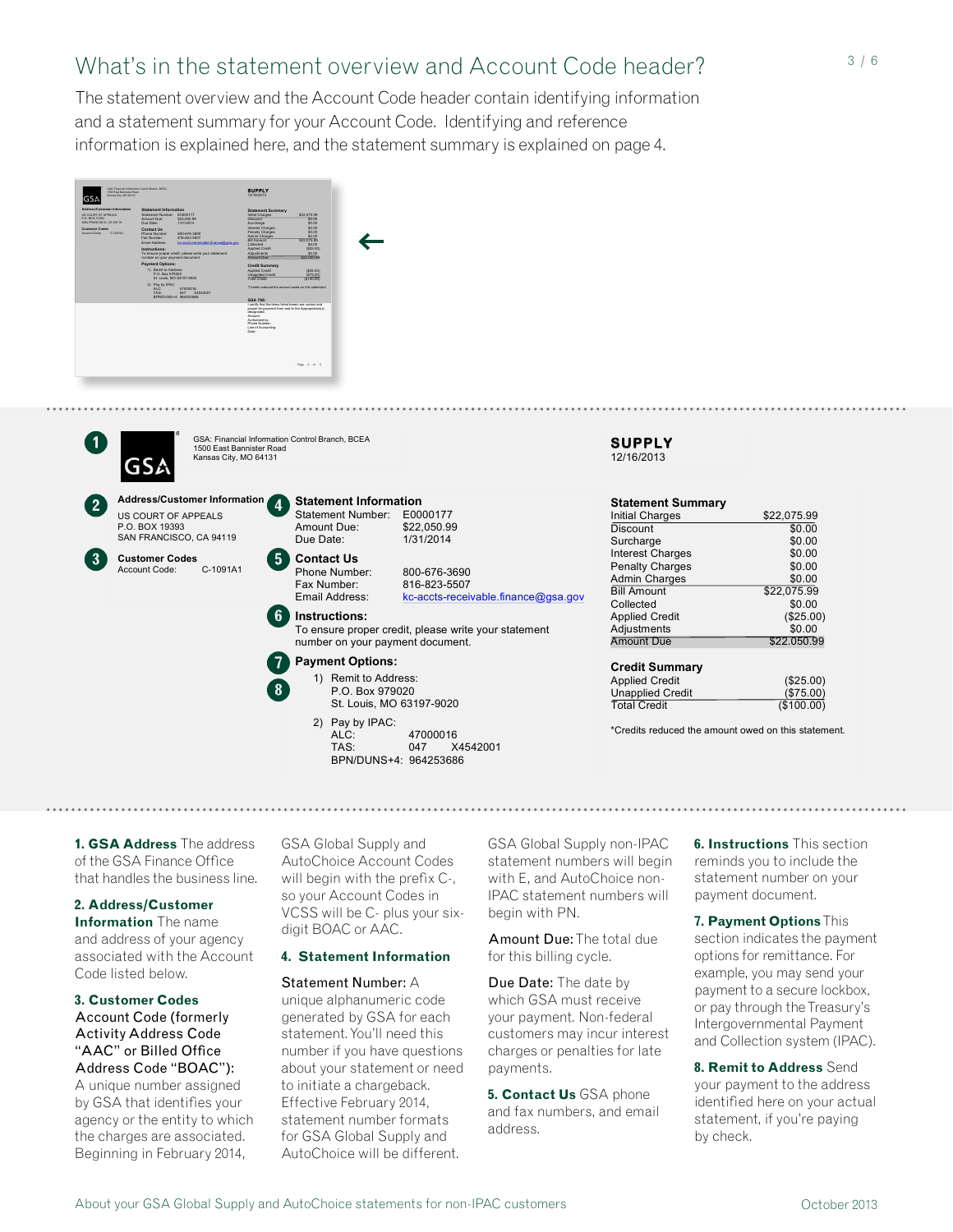# What's in the statement overview and Account Code header?

The statement overview and the Account Code header contain identifying information and a statement summary for your Account Code. Identifying and reference information is explained here, and the statement summary is explained on page 4.





GSA: Financial Information Control Branch, BCEA 1500 East Bannister Road Kansas City, MO 64131

**Address/Customer Information Statement Information** US COURT OF APPEALS P.O. BOX 19393 SAN FRANCISCO, CA 94119

**Customer Codes** Account Code: C-1091A1

| Due Date: | Statement Number:<br>Amount Due:                                    | E0000177<br>\$22,050.99<br>1/31/2014                                                     |
|-----------|---------------------------------------------------------------------|------------------------------------------------------------------------------------------|
|           | <b>Contact Us</b><br>Phone Number:<br>Fax Number:<br>Email Address: | 800-676-3690<br>816-823-5507<br>kc-accts-receivable.finance@gsa.gov                      |
|           | Instructions:                                                       | To ensure proper credit, please write your statement<br>number on your payment document. |
|           | <b>Payment Options:</b>                                             |                                                                                          |
|           | 1) Remit to Address:<br>P.O. Box 979020<br>St. Louis, MO 63197-9020 |                                                                                          |
|           | 2) Pay by IPAC:<br>$\mathsf{A} \mathsf{I} \cap \mathsf{A}$          | 17000016                                                                                 |

ALC: 47000016 TAS: 047 X4542001 BPN/DUNS+4: 964253686

## **SUPPLY** 12/16/2013

| <b>Statement Summary</b> |             |
|--------------------------|-------------|
| <b>Initial Charges</b>   | \$22,075.99 |
| Discount                 | \$0.00      |
| Surcharge                | \$0.00      |
| <b>Interest Charges</b>  | \$0.00      |
| <b>Penalty Charges</b>   | \$0.00      |
| <b>Admin Charges</b>     | \$0.00      |
| <b>Bill Amount</b>       | \$22,075.99 |
| Collected                | \$0.00      |
| <b>Applied Credit</b>    | (\$25.00)   |
| Adjustments              | \$0.00      |
| <b>Amount Due</b>        | \$22.050.99 |
| <b>Credit Summary</b>    |             |

| <b>Applied Credit</b>   | (\$25.00)  |
|-------------------------|------------|
| <b>Unapplied Credit</b> | (\$75.00)  |
| <b>Total Credit</b>     | (\$100.00) |

\*Credits reduced the amount owed on this statement.

**1. GSA Address** The address of the GSA Finance Office that handles the business line.

# **2. Address/Customer**

**Information** The name and address of your agency associated with the Account Code listed below.

**3. Customer Codes** Account Code (formerly Activity Address Code "AAC" or Billed Office Address Code "BOAC"):

A unique number assigned by GSA that identifies your agency or the entity to which the charges are associated. Beginning in February 2014,

GSA Global Supply and AutoChoice Account Codes will begin with the prefix C-, so your Account Codes in VCSS will be C- plus your sixdigit BOAC or AAC.

## **4. Statement Information**

## Statement Number: A

unique alphanumeric code generated by GSA for each statement. You'll need this number if you have questions about your statement or need to initiate a chargeback. Effective February 2014, statement number formats for GSA Global Supply and AutoChoice will be different.

GSA Global Supply non-IPAC statement numbers will begin with E, and AutoChoice non-IPAC statement numbers will begin with PN.

designated:

Amount Due: The total due for this billing cycle.

Due Date: The date by which GSA must receive your payment. Non-federal customers may incur interest charges or penalties for late payments.

**5. Contact Us** GSA phone and fax numbers, and email address.

**6. Instructions** This section reminds you to include the statement number on your payment document.

options for remittance. For **7. Payment Options** This section indicates the payment example, you may send your payment to a secure lockbox, or pay through the Treasury's Intergovernmental Payment and Collection system (IPAC).

**8. Remit to Address** Send your payment to the address identified here on your actual statement, if you're paying by check.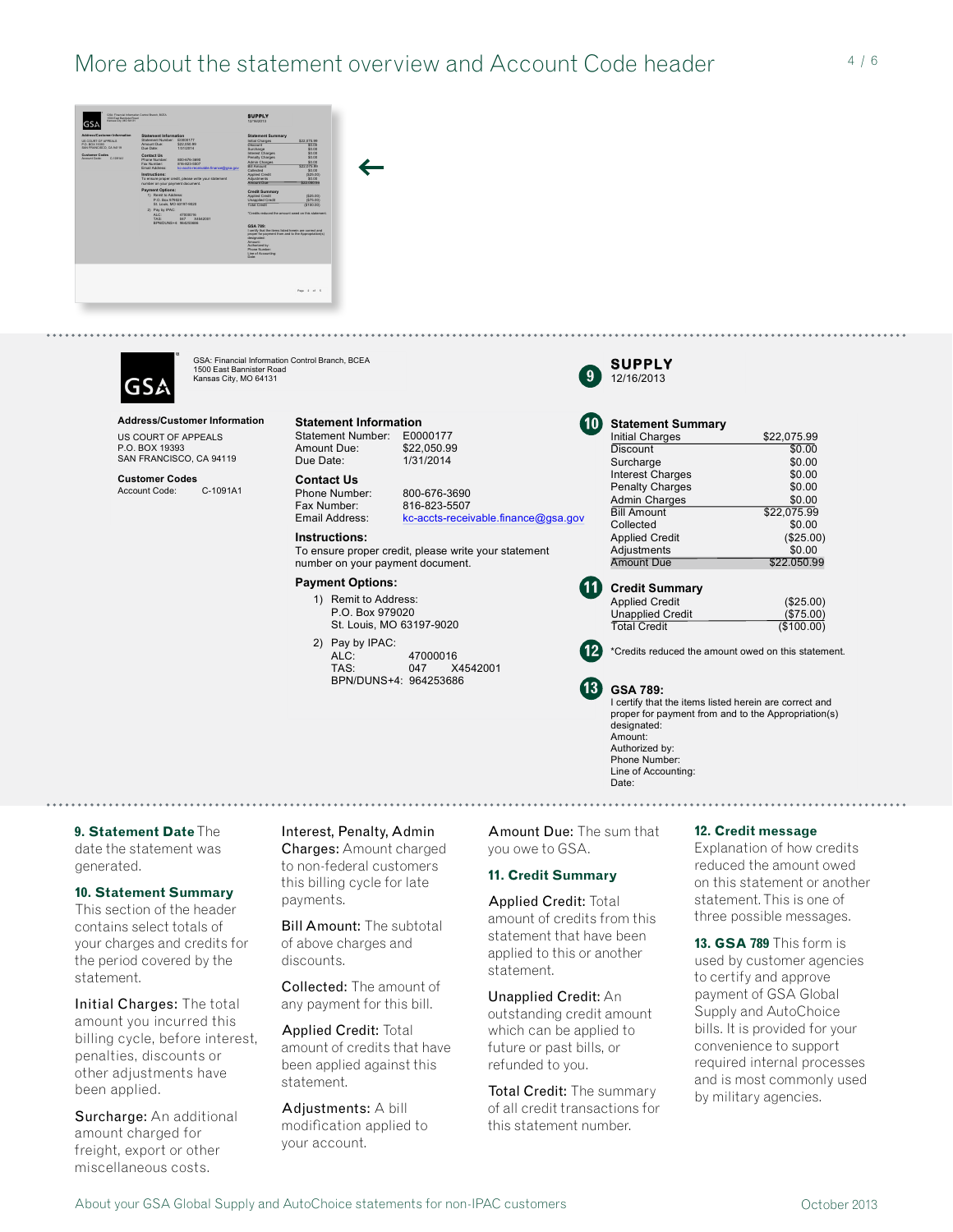



GSA: Financial Information Control Branch, BCEA 1500 East Bannister Road Kansas City, MO 64131

## **Address/Customer Information**

US COURT OF APPEALS P.O. BOX 19393 SAN FRANCISCO, CA 94119

**Customer Codes** C-1091A1 **Statement Information** Statement Number: E0000177<br>Amount Due: \$22,050.99 Amount Due:<br>Due Date:

## **Contact Us**

1/31/2014

Phone Number: 800-676-3690<br>Fax Number: 816-823-5507 Fax Number: 816-823-5507<br>Email Address: kc-accts-recei kc-accts-receivable.finance@gsa.gov

## **Instructions:**

To ensure proper credit, please write your statement number on your payment document.

## **Payment Options:**

- 1) Remit to Address: P.O. Box 979020 St. Louis, MO 63197-9020
- 2) Pay by IPAC: ALC: 47000016<br>TAS: 047 X X4542001 BPN/DUNS+4: 964253686



10

| <b>Statement Summary</b> |             |
|--------------------------|-------------|
| <b>Initial Charges</b>   | \$22,075.99 |
| <b>Discount</b>          | \$0.00      |
| Surcharge                | \$0.00      |
| <b>Interest Charges</b>  | \$0.00      |
| <b>Penalty Charges</b>   | \$0.00      |
| <b>Admin Charges</b>     | \$0.00      |
| <b>Bill Amount</b>       | \$22.075.99 |
| Collected                | \$0.00      |
| <b>Applied Credit</b>    | (\$25.00)   |
| Adjustments              | \$0.00      |
| <b>Amount Due</b>        | \$22.050.99 |
|                          |             |
| <b>Credit Summary</b>    |             |
| <b>Applied Credit</b>    | (\$25.00)   |
| <b>Unapplied Credit</b>  | (\$75.00)   |
| <b>Total Credit</b>      | (\$100.00)  |



**GSA 789:** I certify that the items listed herein are correct and proper for payment from and to the Appropriation(s) designated: Amount: Authorized by: Phone Number Line of Accounting: Date:

**9. Statement Date** The date the statement was generated.

## **10. Statement Summary**

This section of the header contains select totals of your charges and credits for the period covered by the statement.

Initial Charges: The total amount you incurred this billing cycle, before interest, penalties, discounts or other adjustments have been applied.

Surcharge: An additional amount charged for freight, export or other miscellaneous costs.

Interest, Penalty, Admin Charges: Amount charged to non-federal customers this billing cycle for late payments.

Bill Amount: The subtotal of above charges and discounts.

Collected: The amount of any payment for this bill.

Applied Credit: Total amount of credits that have been applied against this statement.

Adjustments: A bill modification applied to your account.

Amount Due: The sum that you owe to GSA.

**13**

 $^{\prime}$ 11

## **11. Credit Summary**

Applied Credit: Total amount of credits from this statement that have been applied to this or another statement.

Unapplied Credit: An outstanding credit amount which can be applied to future or past bills, or refunded to you.

**Total Credit:** The summary of all credit transactions for this statement number.

## **12. Credit message**

on this statement or another Explanation of how credits reduced the amount owed statement. This is one of three possible messages.

**13. GSA 789** This form is used by customer agencies to certify and approve payment of GSA Global Supply and AutoChoice bills. It is provided for your convenience to support required internal processes and is most commonly used by military agencies.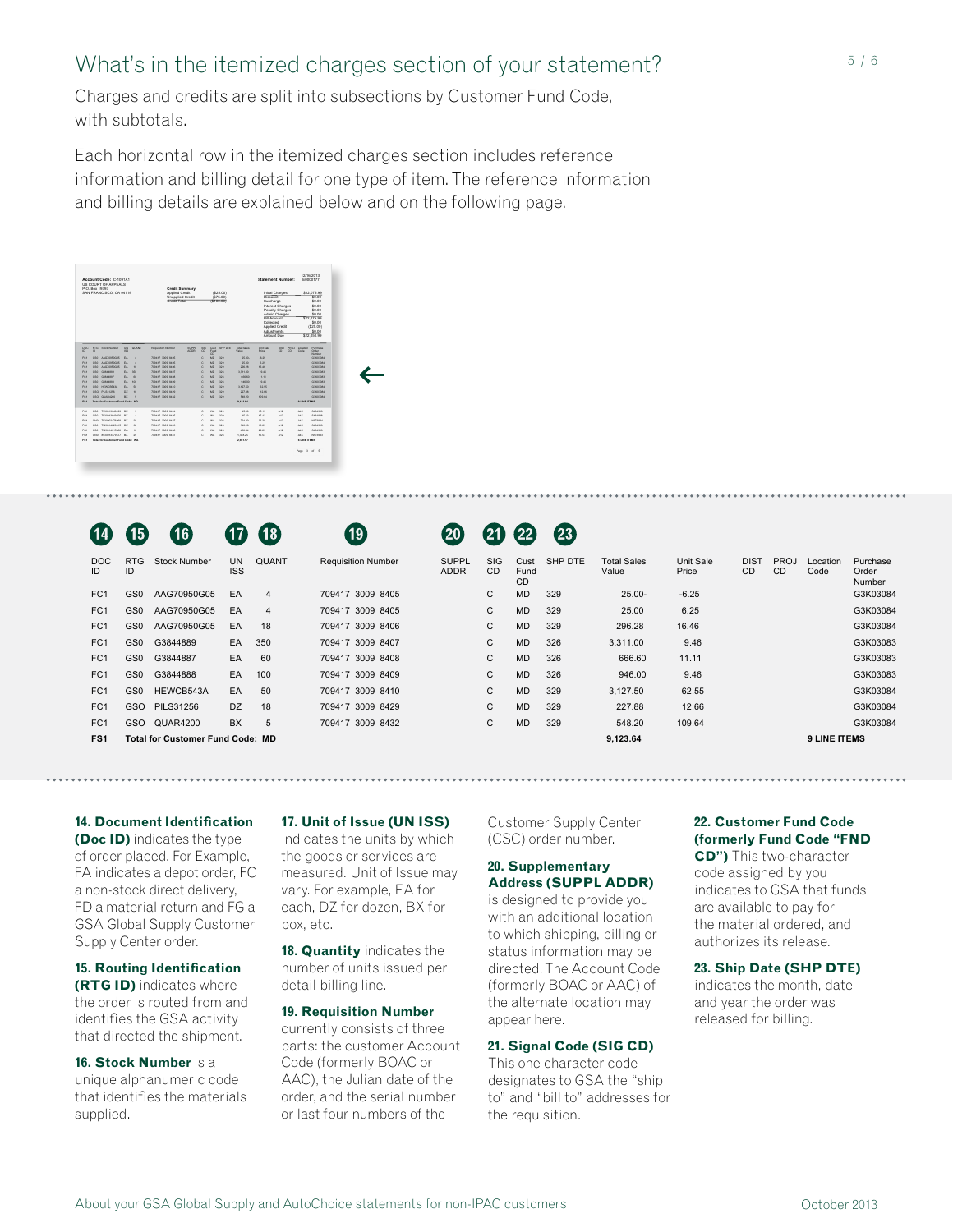# What's in the itemized charges section of your statement?

Charges and credits are split into subsections by Customer Fund Code, with subtotals.

Each horizontal row in the itemized charges section includes reference information and billing detail for one type of item. The reference information and billing details are explained below and on the following page.

| Account Code: C-1091A1<br>US COURT OF APPEALS<br>P.O. Box 19393<br>SAN FRANCISCO, CA 94119 | <b>Credit Summary</b><br>Applied Credit<br>Unapplied Credit | (S25.00)<br>(375.00)<br>(\$100.00)                                             |                 | <b>Statement Number:</b><br>Initial Charges<br>Discount<br>Surcharge<br>Interest Charges<br>Penalty Charges<br>Admin Charges<br><b>Bill Amount</b><br>Collected<br>Applied Credit<br>Adjustments<br>Amount Due |                                                  | 12/16/2013<br>E0000177<br>\$22,075.99<br>\$0.00<br>\$0.00<br>\$0.00<br>\$0.00<br>\$0.00<br>\$22,075.99<br>\$0.00<br>(525.00)<br>\$0.00<br>\$22,050.99 |
|--------------------------------------------------------------------------------------------|-------------------------------------------------------------|--------------------------------------------------------------------------------|-----------------|----------------------------------------------------------------------------------------------------------------------------------------------------------------------------------------------------------------|--------------------------------------------------|-------------------------------------------------------------------------------------------------------------------------------------------------------|
| DOC RTG Stock Number LIN QUANT<br>$D$ $D$<br>69<br>FC1 GS0 AAG70950505 EA 4                | <b>Requisition Number</b><br>709417 3009 8405               | SUPPL SIG Cust SHP DTE Total Sales<br>ADDR CD Fund<br>$\sim$<br>$C$ $MD$ $229$ | Value<br>25.00- | Unit Sale<br>Price<br>$-0.25$                                                                                                                                                                                  | DIST PROJ Location Purchase<br>$CD$ $CD$<br>Code | <b>Cyper</b><br><b>Number</b><br>GONZOORS                                                                                                             |
| FC1 GS0 AAG70950G05 EA 4                                                                   | 709417 3009 8405                                            | $C = 100 - 229$                                                                | 25.00           | 5.25                                                                                                                                                                                                           |                                                  | GONZOON                                                                                                                                               |
| FC1 GS0 AAG70850505 EA 18                                                                  | <b>709417 3009 8409</b>                                     | C MO 329                                                                       | 295.28          | 15.49                                                                                                                                                                                                          |                                                  | GONZOON                                                                                                                                               |
| FC1 030 0384488<br>EA 250                                                                  | 709417-3009 8407                                            | $C = 300 - 220$                                                                | 3,311.00        | 9.49                                                                                                                                                                                                           |                                                  | GENERALS                                                                                                                                              |
| EA 60<br>FC1 GS0 G384480                                                                   | 709417-3009 6408                                            | $C = 300 - 326$                                                                | 666.60          | 11.11                                                                                                                                                                                                          |                                                  | GENERALS                                                                                                                                              |
| FC1 030 0384488<br>EA 100                                                                  | <b>709417 3009 8409</b>                                     | $C = 300 - 220$                                                                | 949.00          | 9.49                                                                                                                                                                                                           |                                                  | GENERALS                                                                                                                                              |
| FC1 GS0 HEWCREATA EA 50                                                                    | <b>709417 3009 8410</b>                                     | $C = 300 - 229$                                                                | 3.127.50        | \$2.55                                                                                                                                                                                                         |                                                  | GONZIDEA                                                                                                                                              |
| FC1 030 PILS01256 02 18                                                                    | <b>709417 3009 8429</b>                                     | $C$ $MO$ $229$                                                                 | 227.88          | 12.66                                                                                                                                                                                                          |                                                  | GORDON                                                                                                                                                |
| FC1 GSO QUARAZOS BX 5                                                                      | 709417 3009 8432                                            | $C = 300 - 229$                                                                | 548.22          | 109.64                                                                                                                                                                                                         |                                                  | GONZOON                                                                                                                                               |
| FS1 Tutal for Customer Fund Code: MD                                                       |                                                             |                                                                                | 9,123.64        |                                                                                                                                                                                                                |                                                  | <b>3 LINE ITEMS</b>                                                                                                                                   |
|                                                                                            |                                                             |                                                                                |                 |                                                                                                                                                                                                                |                                                  |                                                                                                                                                       |
| FG1 GS0 753001364649 BX 3                                                                  | 709417 3009 8424                                            | C WA 329                                                                       | 45.28           | 15.13<br>A12                                                                                                                                                                                                   | Atli                                             | SASHING                                                                                                                                               |
| FG1 GS0 7530013649500 BX 1                                                                 | 709417 3009 8425                                            | C WA 329                                                                       | 15.13           | A12<br>15.13                                                                                                                                                                                                   | A45                                              | SASHINE                                                                                                                                               |
| FG1 GND 7530002476069 BX 20                                                                | 709417 3009 8427                                            | C WA 326                                                                       | 724.00          | A12<br>36.20                                                                                                                                                                                                   | A45                                              | NS72994                                                                                                                                               |
| FG1 GS0 7520014220315 DZ 32                                                                | 709417 3009 8428                                            | C WA 326                                                                       | 340.16          | A12<br>12.63                                                                                                                                                                                                   | A45                                              | SASANA                                                                                                                                                |
| FG1 GS0 7520014815368 EA 16                                                                | 709417 3009 8430                                            | C WA 326                                                                       | 498.64          | A12<br>29.29                                                                                                                                                                                                   | A45                                              | SASHINE                                                                                                                                               |
| FG1 GND 8530013476577 BX 25                                                                | 709417 3009 8437                                            | C WA 326                                                                       | 1,388.25        | 55.53<br>A12                                                                                                                                                                                                   | A45                                              | NS72993                                                                                                                                               |
| FS1 Tutal for Customer Fund Code: WA                                                       |                                                             |                                                                                | 2,881.57        |                                                                                                                                                                                                                |                                                  | <b>SLINE ITEMS</b>                                                                                                                                    |
|                                                                                            |                                                             |                                                                                |                 |                                                                                                                                                                                                                |                                                  |                                                                                                                                                       |
|                                                                                            |                                                             |                                                                                |                 |                                                                                                                                                                                                                |                                                  |                                                                                                                                                       |
|                                                                                            |                                                             |                                                                                |                 |                                                                                                                                                                                                                |                                                  | Page 3 of 5                                                                                                                                           |
|                                                                                            |                                                             |                                                                                |                 |                                                                                                                                                                                                                |                                                  |                                                                                                                                                       |
|                                                                                            |                                                             |                                                                                |                 |                                                                                                                                                                                                                |                                                  |                                                                                                                                                       |
|                                                                                            |                                                             |                                                                                |                 |                                                                                                                                                                                                                |                                                  |                                                                                                                                                       |
|                                                                                            |                                                             |                                                                                |                 |                                                                                                                                                                                                                |                                                  |                                                                                                                                                       |

|                  | 15              | 16                                   |           |           |  |
|------------------|-----------------|--------------------------------------|-----------|-----------|--|
| <b>DOC</b><br>ID | RTG<br>ID       | Stock Number                         | UN<br>ISS | QUANT     |  |
| FC <sub>1</sub>  | GS <sub>0</sub> | AAG70950G05                          | EA        | 4         |  |
| FC <sub>1</sub>  | GS <sub>0</sub> | AAG70950G05                          | EA        | 4         |  |
| FC <sub>1</sub>  | GS <sub>0</sub> | AAG70950G05                          | EA        | 18        |  |
| FC <sub>1</sub>  | GS0             | G3844889                             | EA        | 350       |  |
| FC <sub>1</sub>  | GS <sub>0</sub> | G3844887                             | EA        | 60        |  |
| FC <sub>1</sub>  | GS0             | G3844888                             | EA        | 100       |  |
| FC <sub>1</sub>  | GS <sub>0</sub> | HEWCB543A                            | EA        | 50        |  |
| FC <sub>1</sub>  | GSO             | <b>PILS31256</b>                     | DZ        | 18        |  |
| FC <sub>1</sub>  | GSO             | <b>QUAR4200</b>                      | ВX        | 5         |  |
| FS1              |                 | <b>Total for Customer Fund Code:</b> |           | <b>MD</b> |  |

# **19**

# 20 21 22 23

| DOC.<br>ID | <b>RTG</b><br>ID | <b>Stock Number</b>                     | <b>UN</b><br><b>ISS</b> | QUANT          | <b>Requisition Number</b> | <b>SUPPL</b><br><b>ADDR</b> | <b>SIG</b><br><b>CD</b> | Cust<br>Fund<br><b>CD</b> | SHP DTE | <b>Total Sales</b><br>Value | Unit Sale<br>Price | <b>DIST</b><br>CD | <b>PROJ</b><br><b>CD</b> | Location<br>Code    | Purchase<br>Order<br>Number |
|------------|------------------|-----------------------------------------|-------------------------|----------------|---------------------------|-----------------------------|-------------------------|---------------------------|---------|-----------------------------|--------------------|-------------------|--------------------------|---------------------|-----------------------------|
| FC1        | GS <sub>0</sub>  | AAG70950G05                             | EA                      | $\overline{4}$ | 709417 3009 8405          |                             | $\mathsf{C}$            | <b>MD</b>                 | 329     | $25.00 -$                   | $-6.25$            |                   |                          |                     | G3K03084                    |
| FC1        | GS <sub>0</sub>  | AAG70950G05                             | EA                      | $\overline{4}$ | 709417 3009 8405          |                             | $\mathbf{C}$            | <b>MD</b>                 | 329     | 25.00                       | 6.25               |                   |                          |                     | G3K03084                    |
| FC1        | GS0              | AAG70950G05                             | EA                      | 18             | 709417 3009 8406          |                             | $\mathbf{C}$            | <b>MD</b>                 | 329     | 296.28                      | 16.46              |                   |                          |                     | G3K03084                    |
| FC1        | GS0              | G3844889                                | EA.                     | 350            | 709417 3009 8407          |                             | C                       | <b>MD</b>                 | 326     | 3,311.00                    | 9.46               |                   |                          |                     | G3K03083                    |
| FC1        | GS0              | G3844887                                | EA                      | - 60           | 709417 3009 8408          |                             | C                       | <b>MD</b>                 | 326     | 666.60                      | 11.11              |                   |                          |                     | G3K03083                    |
| FC1        | GS0              | G3844888                                | EA                      | 100            | 709417 3009 8409          |                             | C                       | <b>MD</b>                 | 326     | 946.00                      | 9.46               |                   |                          |                     | G3K03083                    |
| FC1        | GS0              | HEWCB543A                               | EA                      | 50             | 709417 3009 8410          |                             | C                       | <b>MD</b>                 | 329     | 3.127.50                    | 62.55              |                   |                          |                     | G3K03084                    |
| FC1        | <b>GSO</b>       | <b>PILS31256</b>                        | DZ.                     | 18             | 709417 3009 8429          |                             | C                       | <b>MD</b>                 | 329     | 227.88                      | 12.66              |                   |                          |                     | G3K03084                    |
| FC1        | <b>GSO</b>       | QUAR4200                                | <b>BX</b>               | 5              | 709417 3009 8432          |                             | $\mathsf{C}$            | <b>MD</b>                 | 329     | 548.20                      | 109.64             |                   |                          |                     | G3K03084                    |
| FS1        |                  | <b>Total for Customer Fund Code: MD</b> |                         |                |                           |                             |                         |                           |         | 9,123.64                    |                    |                   |                          | <b>9 LINE ITEMS</b> |                             |
|            |                  |                                         |                         |                |                           |                             |                         |                           |         |                             |                    |                   |                          |                     |                             |

## **14. Document Identification (Doc ID)** indicates the type

of order placed. For Example, the goods or services are  $\overline{a}$   $\overline{a}$   $\overline{a}$   $\overline{a}$   $\overline{a}$   $\overline{a}$   $\overline{a}$   $\overline{a}$   $\overline{a}$   $\overline{a}$   $\overline{a}$   $\overline{b}$   $\overline{c}$   $\overline{b}$   $\overline{b}$  This two-character FA indicates a depot order, FC a non-stock direct delivery, FD a material return and FG a GSA Global Supply Customer Supply Center order.

**15. Routing Identification (RTG ID)** indicates where the order is routed from and identifies the GSA activity that directed the shipment.

**16. Stock Number** is a unique alphanumeric code that identifies the materials supplied.

indicates the units by which the goods or services are measured. Unit of Issue may **FS1 Total for Customer Fund Code: WA 2,981.57 6 LINE ITEMS** vary. For example, EA for each, DZ for dozen, BX for box, etc. oc ID) indicates the type indicates the units by which (CSC) order number. **(formerly Fund Code "FND** 

> **18. Quantity** indicates the number of units issued per detail billing line.

## **19. Requisition Number**

currently consists of three parts: the customer Account Code (formerly BOAC or AAC), the Julian date of the order, and the serial number or last four numbers of the

Customer Supply Center (CSC) order number.

## **20. Supplementary Address (SUPPL ADDR)**

is designed to provide you with an additional location to which shipping, billing or status information may be directed. The Account Code (formerly BOAC or AAC) of the alternate location may appear here.

## **21. Signal Code (SIG CD)**

This one character code designates to GSA the "ship to" and "bill to" addresses for the requisition.

## **Document Identification 17. Unit of Issue (UN ISS)** Customer Supply Center 22. Customer Fund Code **22. Customer Fund Code**

Applied Credit (\$25.00)

**CD")** This two-character code assigned by you indicates to GSA that funds are available to pay for the material ordered, and authorizes its release.

## **23. Ship Date (SHP DTE)**

indicates the month, date and year the order was released for billing.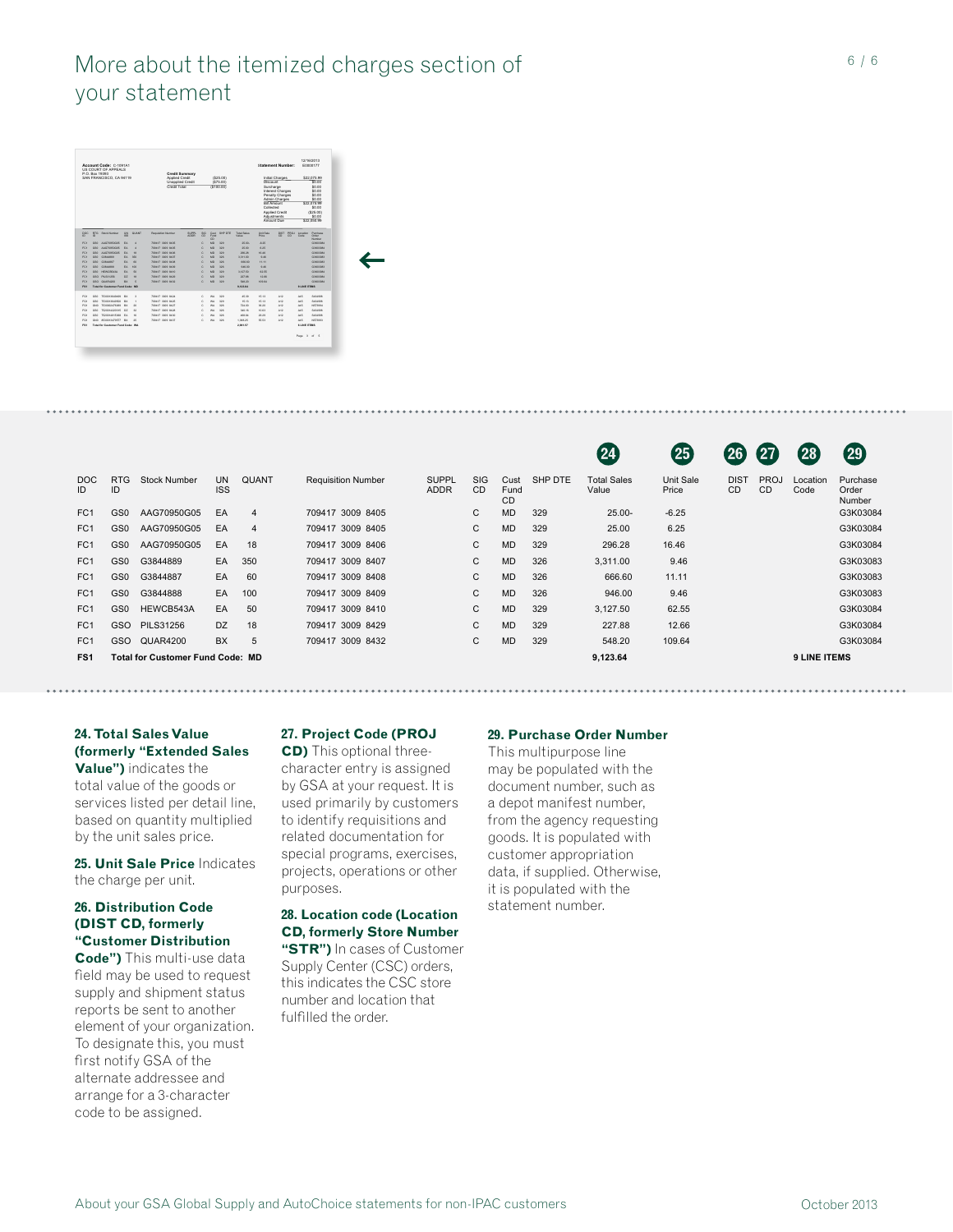# More about the itemized charges section of your statement



|                  |                  |                                         |                         |                |                           |                             |                         |                           |         | 24                          | 25                 | $\mathbf{[26]}$          | 27                       | $\mathbf{28}$       | (29)                        |
|------------------|------------------|-----------------------------------------|-------------------------|----------------|---------------------------|-----------------------------|-------------------------|---------------------------|---------|-----------------------------|--------------------|--------------------------|--------------------------|---------------------|-----------------------------|
| <b>DOC</b><br>ID | <b>RTG</b><br>ID | <b>Stock Number</b>                     | <b>UN</b><br><b>ISS</b> | <b>QUANT</b>   | <b>Requisition Number</b> | <b>SUPPL</b><br><b>ADDR</b> | <b>SIG</b><br><b>CD</b> | Cust<br>Fund<br><b>CD</b> | SHP DTE | <b>Total Sales</b><br>Value | Unit Sale<br>Price | <b>DIST</b><br><b>CD</b> | <b>PROJ</b><br><b>CD</b> | Location<br>Code    | Purchase<br>Order<br>Number |
| FC <sub>1</sub>  | GS0              | AAG70950G05                             | EA                      | $\overline{4}$ | 709417 3009 8405          |                             | C                       | <b>MD</b>                 | 329     | $25.00 -$                   | $-6.25$            |                          |                          |                     | G3K03084                    |
| FC <sub>1</sub>  | GS0              | AAG70950G05                             | EA                      | 4              | 709417 3009 8405          |                             | C                       | <b>MD</b>                 | 329     | 25.00                       | 6.25               |                          |                          |                     | G3K03084                    |
| FC <sub>1</sub>  | GS0              | AAG70950G05                             | EA                      | 18             | 709417 3009 8406          |                             | C                       | <b>MD</b>                 | 329     | 296.28                      | 16.46              |                          |                          |                     | G3K03084                    |
| FC <sub>1</sub>  | GS0              | G3844889                                | EA                      | 350            | 709417 3009 8407          |                             | C                       | <b>MD</b>                 | 326     | 3,311.00                    | 9.46               |                          |                          |                     | G3K03083                    |
| FC <sub>1</sub>  | GS0              | G3844887                                | EA                      | 60             | 709417 3009 8408          |                             | C                       | <b>MD</b>                 | 326     | 666.60                      | 11.11              |                          |                          |                     | G3K03083                    |
| FC <sub>1</sub>  | GS0              | G3844888                                | EA                      | 100            | 709417 3009 8409          |                             | C                       | <b>MD</b>                 | 326     | 946.00                      | 9.46               |                          |                          |                     | G3K03083                    |
| FC <sub>1</sub>  | GS0              | HEWCB543A                               | EA                      | 50             | 709417 3009 8410          |                             | C                       | <b>MD</b>                 | 329     | 3,127.50                    | 62.55              |                          |                          |                     | G3K03084                    |
| FC <sub>1</sub>  | <b>GSO</b>       | <b>PILS31256</b>                        | DZ.                     | 18             | 709417 3009 8429          |                             | C                       | <b>MD</b>                 | 329     | 227.88                      | 12.66              |                          |                          |                     | G3K03084                    |
| FC <sub>1</sub>  | <b>GSO</b>       | <b>QUAR4200</b>                         | <b>BX</b>               | 5              | 709417 3009 8432          |                             | С                       | <b>MD</b>                 | 329     | 548.20                      | 109.64             |                          |                          |                     | G3K03084                    |
| FS <sub>1</sub>  |                  | <b>Total for Customer Fund Code: MD</b> |                         |                |                           |                             |                         |                           |         | 9,123.64                    |                    |                          |                          | <b>9 LINE ITEMS</b> |                             |

# **24. Total Sales Value**

**Value")** indicates the total value of the goods or services listed per detail line, based on quantity multiplied by the unit sales price. total value of the goods or **Follo** by GSA at your request. It is **condi**cult a document number, such as

**25. Unit Sale Price** Indicates the charge per unit.

## **26. Distribution Code (DIST CD, formerly "Customer Distribution**

**Code")** This multi-use data field may be used to request supply and shipment status reports be sent to another element of your organization. To designate this, you must first notify GSA of the alternate addressee and arrange for a 3-character code to be assigned.

## **27. Project Code (PROJ**

**(formerly "Extended Sales CD)** This optional three- This multipurpose line **And 20.66 20.66 20.66 20.66 20.66 CD)** This optional three-**Value")** indicates the character entry is assigned may be populated with the used primarily by customers to identify requisitions and related documentation for special programs, exercises, projects, operations or other purposes.

# **28. Location code (Location CD, formerly Store Number**

**"STR")** In cases of Customer Supply Center (CSC) orders, this indicates the CSC store number and location that fulfilled the order.

## 24. Total Sales Value 27. Project Code (PROJ 29. Purchase Order Number

FG1 GS0 7530013649499 BX 3 709417 3009 8424 C WA 329 45.39 15.13 A12 A45 S434998

This multipurpose line may be populated with the document number, such as a depot manifest number, from the agency requesting goods. It is populated with customer appropriation data, if supplied. Otherwise, it is populated with the statement number.

Applied Credit (\$25.00)